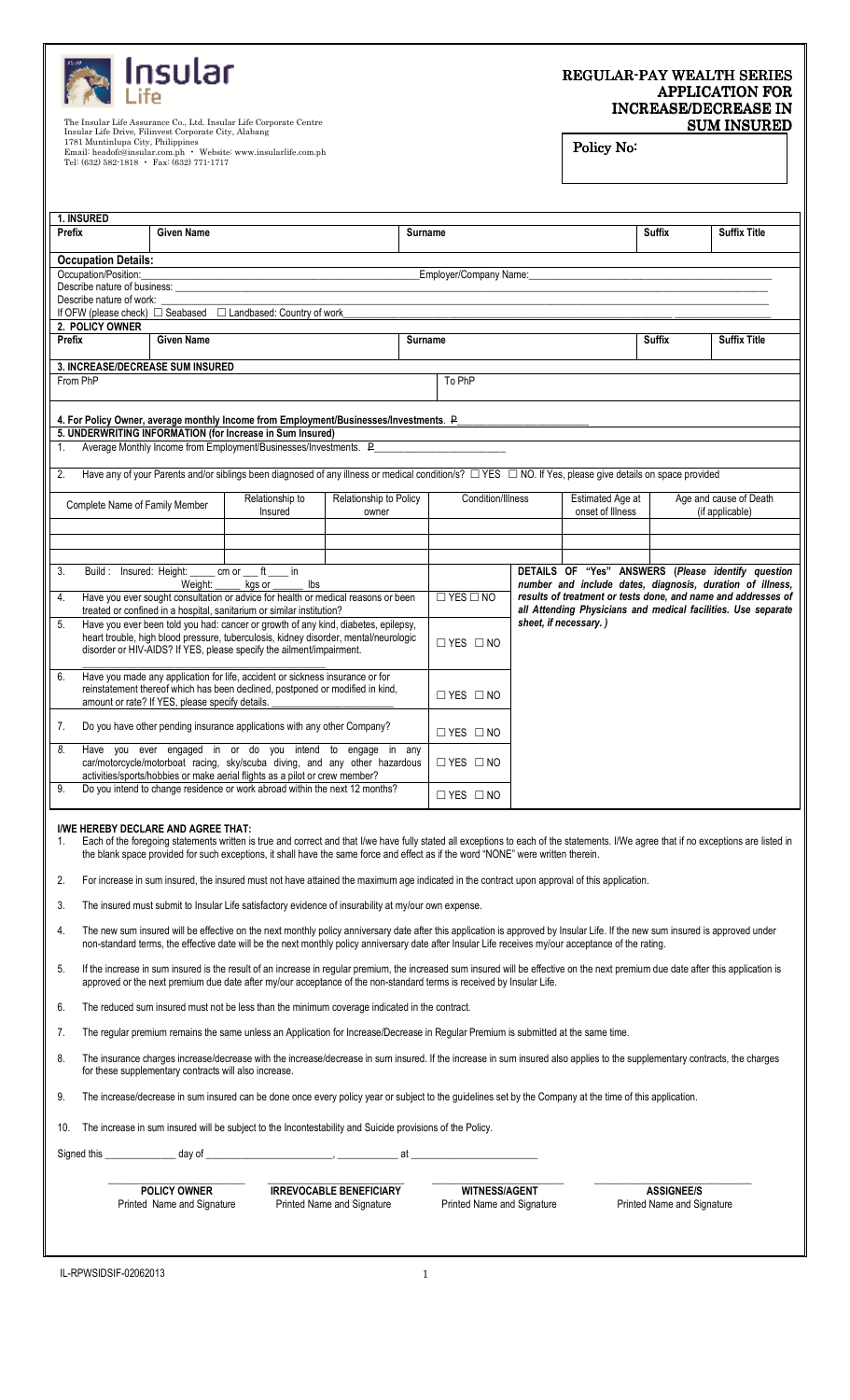| <b>A</b> Insular<br><b>A</b> Life |
|-----------------------------------|
|                                   |

## REGULAR-PAY WEALTH SERIES APPLICATION FOR INCREASE/DECREASE IN **SUM INSURED**

The Insular Life Assurance Co., Ltd. Insular Life Corporate Centre<br>Insular Life Drive, Filinvest Corporate City, Alabang<br>1781 Muntinlupa City, Philippines<br>Email: headofc@insular.com.ph • Website: www.insularlife.com.ph<br>Tel

## Policy No:

| 1. INSURED                                                                                                                                                                                                                                                                                                                                   |                                                                                                                                                                                                                                                                                                                      |                                                 |                                                                                                                                                                                                                                                                                                                            |                                 |                       |                        |  |                                      |                     |                                           |
|----------------------------------------------------------------------------------------------------------------------------------------------------------------------------------------------------------------------------------------------------------------------------------------------------------------------------------------------|----------------------------------------------------------------------------------------------------------------------------------------------------------------------------------------------------------------------------------------------------------------------------------------------------------------------|-------------------------------------------------|----------------------------------------------------------------------------------------------------------------------------------------------------------------------------------------------------------------------------------------------------------------------------------------------------------------------------|---------------------------------|-----------------------|------------------------|--|--------------------------------------|---------------------|-------------------------------------------|
| Prefix                                                                                                                                                                                                                                                                                                                                       | <b>Given Name</b>                                                                                                                                                                                                                                                                                                    |                                                 |                                                                                                                                                                                                                                                                                                                            |                                 | Surname               |                        |  | Suffix                               | <b>Suffix Title</b> |                                           |
| <b>Occupation Details:</b>                                                                                                                                                                                                                                                                                                                   |                                                                                                                                                                                                                                                                                                                      |                                                 |                                                                                                                                                                                                                                                                                                                            |                                 |                       |                        |  |                                      |                     |                                           |
| Occupation/Position:                                                                                                                                                                                                                                                                                                                         |                                                                                                                                                                                                                                                                                                                      |                                                 |                                                                                                                                                                                                                                                                                                                            |                                 |                       | Employer/Company Name: |  |                                      |                     |                                           |
| Describe nature of business:                                                                                                                                                                                                                                                                                                                 |                                                                                                                                                                                                                                                                                                                      |                                                 |                                                                                                                                                                                                                                                                                                                            |                                 |                       |                        |  |                                      |                     |                                           |
| Describe nature of work:                                                                                                                                                                                                                                                                                                                     |                                                                                                                                                                                                                                                                                                                      |                                                 |                                                                                                                                                                                                                                                                                                                            |                                 |                       |                        |  |                                      |                     |                                           |
|                                                                                                                                                                                                                                                                                                                                              |                                                                                                                                                                                                                                                                                                                      |                                                 | If OFW (please check) □ Seabased □ Landbased: Country of work                                                                                                                                                                                                                                                              |                                 |                       |                        |  |                                      |                     |                                           |
| 2. POLICY OWNER                                                                                                                                                                                                                                                                                                                              |                                                                                                                                                                                                                                                                                                                      |                                                 |                                                                                                                                                                                                                                                                                                                            |                                 |                       |                        |  |                                      |                     |                                           |
| Prefix                                                                                                                                                                                                                                                                                                                                       | <b>Given Name</b>                                                                                                                                                                                                                                                                                                    |                                                 |                                                                                                                                                                                                                                                                                                                            |                                 | <b>Surname</b>        |                        |  | Suffix                               | <b>Suffix Title</b> |                                           |
| 3. INCREASE/DECREASE SUM INSURED                                                                                                                                                                                                                                                                                                             |                                                                                                                                                                                                                                                                                                                      |                                                 |                                                                                                                                                                                                                                                                                                                            |                                 |                       |                        |  |                                      |                     |                                           |
| From PhP                                                                                                                                                                                                                                                                                                                                     |                                                                                                                                                                                                                                                                                                                      |                                                 |                                                                                                                                                                                                                                                                                                                            |                                 |                       | To PhP                 |  |                                      |                     |                                           |
|                                                                                                                                                                                                                                                                                                                                              |                                                                                                                                                                                                                                                                                                                      |                                                 | 4. For Policy Owner, average monthly Income from Employment/Businesses/Investments. P.                                                                                                                                                                                                                                     |                                 |                       |                        |  |                                      |                     |                                           |
|                                                                                                                                                                                                                                                                                                                                              |                                                                                                                                                                                                                                                                                                                      |                                                 | 5. UNDERWRITING INFORMATION (for Increase in Sum Insured)                                                                                                                                                                                                                                                                  |                                 |                       |                        |  |                                      |                     |                                           |
| 1.                                                                                                                                                                                                                                                                                                                                           |                                                                                                                                                                                                                                                                                                                      |                                                 | Average Monthly Income from Employment/Businesses/Investments. P_                                                                                                                                                                                                                                                          |                                 |                       |                        |  |                                      |                     |                                           |
| 2.                                                                                                                                                                                                                                                                                                                                           |                                                                                                                                                                                                                                                                                                                      |                                                 | Have any of your Parents and/or siblings been diagnosed of any illness or medical condition/s? □ YES □ NO. If Yes, please give details on space provided                                                                                                                                                                   |                                 |                       |                        |  |                                      |                     |                                           |
|                                                                                                                                                                                                                                                                                                                                              |                                                                                                                                                                                                                                                                                                                      |                                                 |                                                                                                                                                                                                                                                                                                                            |                                 |                       |                        |  |                                      |                     |                                           |
|                                                                                                                                                                                                                                                                                                                                              |                                                                                                                                                                                                                                                                                                                      | Complete Name of Family Member                  | Relationship to<br>Insured                                                                                                                                                                                                                                                                                                 | Relationship to Policy<br>owner |                       | Condition/Illness      |  | Estimated Age at<br>onset of Illness |                     | Age and cause of Death<br>(if applicable) |
|                                                                                                                                                                                                                                                                                                                                              |                                                                                                                                                                                                                                                                                                                      |                                                 |                                                                                                                                                                                                                                                                                                                            |                                 |                       |                        |  |                                      |                     |                                           |
|                                                                                                                                                                                                                                                                                                                                              |                                                                                                                                                                                                                                                                                                                      |                                                 |                                                                                                                                                                                                                                                                                                                            |                                 |                       |                        |  |                                      |                     |                                           |
|                                                                                                                                                                                                                                                                                                                                              |                                                                                                                                                                                                                                                                                                                      |                                                 |                                                                                                                                                                                                                                                                                                                            |                                 |                       |                        |  |                                      |                     |                                           |
| $cm$ or $ft$<br>DETAILS OF "Yes" ANSWERS (Please identify question<br>3.<br>Build: Insured: Height:<br>in.<br>number and include dates, diagnosis, duration of illness,<br>Weight:<br>lbs<br>kgs or                                                                                                                                          |                                                                                                                                                                                                                                                                                                                      |                                                 |                                                                                                                                                                                                                                                                                                                            |                                 |                       |                        |  |                                      |                     |                                           |
| 4.                                                                                                                                                                                                                                                                                                                                           | $\Box$ YES $\Box$ NO<br>results of treatment or tests done, and name and addresses of<br>Have you ever sought consultation or advice for health or medical reasons or been<br>all Attending Physicians and medical facilities. Use separate<br>treated or confined in a hospital, sanitarium or similar institution? |                                                 |                                                                                                                                                                                                                                                                                                                            |                                 |                       |                        |  |                                      |                     |                                           |
| 5.<br>Have you ever been told you had: cancer or growth of any kind, diabetes, epilepsy,<br>heart trouble, high blood pressure, tuberculosis, kidney disorder, mental/neurologic<br>disorder or HIV-AIDS? If YES, please specify the ailment/impairment.                                                                                     |                                                                                                                                                                                                                                                                                                                      |                                                 |                                                                                                                                                                                                                                                                                                                            | $\Box$ YES $\Box$ NO            | sheet, if necessary.) |                        |  |                                      |                     |                                           |
|                                                                                                                                                                                                                                                                                                                                              |                                                                                                                                                                                                                                                                                                                      |                                                 |                                                                                                                                                                                                                                                                                                                            |                                 |                       |                        |  |                                      |                     |                                           |
| 6.                                                                                                                                                                                                                                                                                                                                           |                                                                                                                                                                                                                                                                                                                      |                                                 | Have you made any application for life, accident or sickness insurance or for                                                                                                                                                                                                                                              |                                 |                       |                        |  |                                      |                     |                                           |
|                                                                                                                                                                                                                                                                                                                                              | reinstatement thereof which has been declined, postponed or modified in kind,                                                                                                                                                                                                                                        |                                                 |                                                                                                                                                                                                                                                                                                                            |                                 | $\Box$ YES $\Box$ NO  |                        |  |                                      |                     |                                           |
|                                                                                                                                                                                                                                                                                                                                              |                                                                                                                                                                                                                                                                                                                      | amount or rate? If YES, please specify details. |                                                                                                                                                                                                                                                                                                                            |                                 |                       |                        |  |                                      |                     |                                           |
| 7.                                                                                                                                                                                                                                                                                                                                           | Do you have other pending insurance applications with any other Company?                                                                                                                                                                                                                                             |                                                 |                                                                                                                                                                                                                                                                                                                            |                                 |                       | $\Box$ YES $\Box$ NO   |  |                                      |                     |                                           |
| 8.                                                                                                                                                                                                                                                                                                                                           | Have you ever engaged in or do you intend to engage in any                                                                                                                                                                                                                                                           |                                                 |                                                                                                                                                                                                                                                                                                                            |                                 |                       |                        |  |                                      |                     |                                           |
| car/motorcycle/motorboat racing, sky/scuba diving, and any other hazardous<br>activities/sports/hobbies or make aerial flights as a pilot or crew member?                                                                                                                                                                                    |                                                                                                                                                                                                                                                                                                                      |                                                 |                                                                                                                                                                                                                                                                                                                            |                                 | $\Box$ YES $\Box$ NO  |                        |  |                                      |                     |                                           |
| Do you intend to change residence or work abroad within the next 12 months?<br>9.<br>$\Box$ YES $\Box$ NO                                                                                                                                                                                                                                    |                                                                                                                                                                                                                                                                                                                      |                                                 |                                                                                                                                                                                                                                                                                                                            |                                 |                       |                        |  |                                      |                     |                                           |
|                                                                                                                                                                                                                                                                                                                                              |                                                                                                                                                                                                                                                                                                                      |                                                 |                                                                                                                                                                                                                                                                                                                            |                                 |                       |                        |  |                                      |                     |                                           |
| 1.                                                                                                                                                                                                                                                                                                                                           |                                                                                                                                                                                                                                                                                                                      | I/WE HEREBY DECLARE AND AGREE THAT:             | Each of the foregoing statements written is true and correct and that I/we have fully stated all exceptions to each of the statements. I/We agree that if no exceptions are listed in<br>the blank space provided for such exceptions, it shall have the same force and effect as if the word "NONE" were written therein. |                                 |                       |                        |  |                                      |                     |                                           |
| 2.                                                                                                                                                                                                                                                                                                                                           |                                                                                                                                                                                                                                                                                                                      |                                                 | For increase in sum insured, the insured must not have attained the maximum age indicated in the contract upon approval of this application.                                                                                                                                                                               |                                 |                       |                        |  |                                      |                     |                                           |
| The insured must submit to Insular Life satisfactory evidence of insurability at my/our own expense.<br>3.                                                                                                                                                                                                                                   |                                                                                                                                                                                                                                                                                                                      |                                                 |                                                                                                                                                                                                                                                                                                                            |                                 |                       |                        |  |                                      |                     |                                           |
| The new sum insured will be effective on the next monthly policy anniversary date after this application is approved by Insular Life. If the new sum insured is approved under<br>4.<br>non-standard terms, the effective date will be the next monthly policy anniversary date after Insular Life receives my/our acceptance of the rating. |                                                                                                                                                                                                                                                                                                                      |                                                 |                                                                                                                                                                                                                                                                                                                            |                                 |                       |                        |  |                                      |                     |                                           |
| If the increase in sum insured is the result of an increase in regular premium, the increased sum insured will be effective on the next premium due date after this application is<br>5.<br>approved or the next premium due date after my/our acceptance of the non-standard terms is received by Insular Life.                             |                                                                                                                                                                                                                                                                                                                      |                                                 |                                                                                                                                                                                                                                                                                                                            |                                 |                       |                        |  |                                      |                     |                                           |
| 6.<br>The reduced sum insured must not be less than the minimum coverage indicated in the contract.                                                                                                                                                                                                                                          |                                                                                                                                                                                                                                                                                                                      |                                                 |                                                                                                                                                                                                                                                                                                                            |                                 |                       |                        |  |                                      |                     |                                           |
| The regular premium remains the same unless an Application for Increase/Decrease in Regular Premium is submitted at the same time.<br>7.                                                                                                                                                                                                     |                                                                                                                                                                                                                                                                                                                      |                                                 |                                                                                                                                                                                                                                                                                                                            |                                 |                       |                        |  |                                      |                     |                                           |

8. The insurance charges increase/decrease with the increase/decrease in sum insured. If the increase in sum insured also applies to the supplementary contracts, the charges for these supplementary contracts will also increase.

9. The increase/decrease in sum insured can be done once every policy year or subject to the guidelines set by the Company at the time of this application.

10. The increase in sum insured will be subject to the Incontestability and Suicide provisions of the Policy.

Signed this \_\_\_\_\_\_\_\_\_\_\_\_\_\_ day of \_\_\_\_\_\_\_\_\_\_\_\_\_\_\_\_\_\_\_\_\_\_\_\_\_, \_\_\_\_\_\_\_\_\_\_\_\_ at \_\_\_\_\_\_\_\_\_\_\_\_\_\_\_\_\_\_\_\_\_\_\_\_\_

 $\sim$  , and the state of the state of the state of the state of the state of the state of the state of the state of the state of the state of the state of the state of the state of the state of the state of the state of th  **POLICY OWNER IRREVOCABLE BENEFICIARY WITNESS/AGENT ASSIGNEE/S** 

**1**<br> **Printed Name and Signature Printed Name and Signature Printed Name and Signature Printed Name and Signature** 

IL-RPWSIDSIF-02062013 1